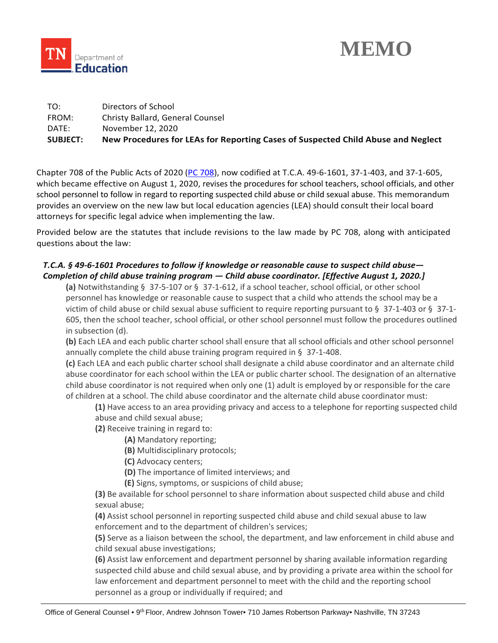



| <b>SUBJECT:</b> | New Procedures for LEAs for Reporting Cases of Suspected Child Abuse and Neglect |
|-----------------|----------------------------------------------------------------------------------|
| DATE:           | November 12, 2020                                                                |
| FROM:           | Christy Ballard, General Counsel                                                 |
| TO:             | Directors of School                                                              |

Chapter 708 of the Public Acts of 2020 [\(PC 708\)](https://publications.tnsosfiles.com/acts/111/pub/pc0708.pdf), now codified at T.C.A. 49-6-1601, 37-1-403, and 37-1-605, which became effective on August 1, 2020, revises the procedures for school teachers, school officials, and other school personnel to follow in regard to reporting suspected child abuse or child sexual abuse. This memorandum provides an overview on the new law but local education agencies (LEA) should consult their local board attorneys for specific legal advice when implementing the law.

 Provided below are the statutes that include revisions to the law made by PC 708, along with anticipated questions about the law:

# *Completion of child abuse training program — Child abuse coordinator. [Effective August 1, 2020.] T.C.A. § 49-6-1601 Procedures to follow if knowledge or reasonable cause to suspect child abuse—*

 **(a)** Notwithstanding § 37-5-107 or § 37-1-612, if a school teacher, school official, or other school personnel has knowledge or reasonable cause to suspect that a child who attends the school may be a victim of child abuse or child sexual abuse sufficient to require reporting pursuant to § 37-1-403 or § 37-1- 605, then the school teacher, school official, or other school personnel must follow the procedures outlined in subsection (d).

 **(b)** Each LEA and each public charter school shall ensure that all school officials and other school personnel annually complete the child abuse training program required in § 37-1-408.

 **(c)** Each LEA and each public charter school shall designate a child abuse coordinator and an alternate child abuse coordinator for each school within the LEA or public charter school. The designation of an alternative child abuse coordinator is not required when only one (1) adult is employed by or responsible for the care of children at a school. The child abuse coordinator and the alternate child abuse coordinator must:

 **(1)** Have access to an area providing privacy and access to a telephone for reporting suspected child abuse and child sexual abuse;

**(2)** Receive training in regard to:

**(A)** Mandatory reporting;

**(B)** Multidisciplinary protocols;

**(C)** Advocacy centers;

**(D)** The importance of limited interviews; and

**(E)** Signs, symptoms, or suspicions of child abuse;

 **(3)** Be available for school personnel to share information about suspected child abuse and child sexual abuse;

 enforcement and to the department of children's services; **(4)** Assist school personnel in reporting suspected child abuse and child sexual abuse to law

 **(5)** Serve as a liaison between the school, the department, and law enforcement in child abuse and child sexual abuse investigations;

 **(6)** Assist law enforcement and department personnel by sharing available information regarding suspected child abuse and child sexual abuse, and by providing a private area within the school for law enforcement and department personnel to meet with the child and the reporting school personnel as a group or individually if required; and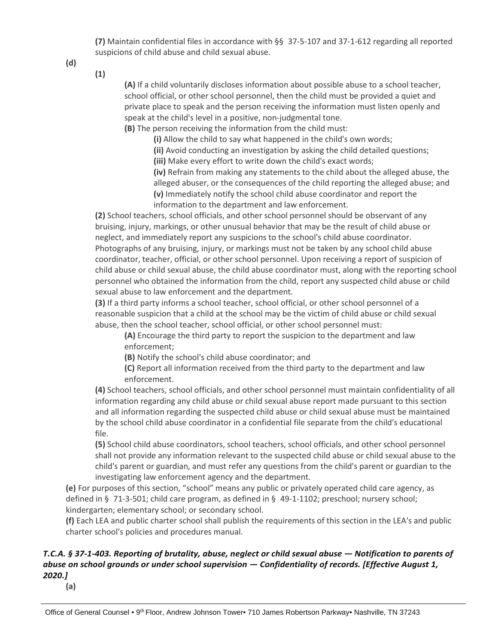**(7)** Maintain confidential files in accordance with §§ 37-5-107 and 37-1-612 regarding all reported suspicions of child abuse and child sexual abuse.

**(d)** 

**(1)** 

 **(A)** If a child voluntarily discloses information about possible abuse to a school teacher, school official, or other school personnel, then the child must be provided a quiet and private place to speak and the person receiving the information must listen openly and speak at the child's level in a positive, non-judgmental tone.

**(B)** The person receiving the information from the child must:

**(i)** Allow the child to say what happened in the child's own words;

**(ii)** Avoid conducting an investigation by asking the child detailed questions;

**(iii)** Make every effort to write down the child's exact words;

 **(iv)** Refrain from making any statements to the child about the alleged abuse, the alleged abuser, or the consequences of the child reporting the alleged abuse; and **(v)** Immediately notify the school child abuse coordinator and report the information to the department and law enforcement.

 **(2)** School teachers, school officials, and other school personnel should be observant of any bruising, injury, markings, or other unusual behavior that may be the result of child abuse or neglect, and immediately report any suspicions to the school's child abuse coordinator. Photographs of any bruising, injury, or markings must not be taken by any school child abuse coordinator, teacher, official, or other school personnel. Upon receiving a report of suspicion of child abuse or child sexual abuse, the child abuse coordinator must, along with the reporting school personnel who obtained the information from the child, report any suspected child abuse or child sexual abuse to law enforcement and the department.

 **(3)** If a third party informs a school teacher, school official, or other school personnel of a reasonable suspicion that a child at the school may be the victim of child abuse or child sexual abuse, then the school teacher, school official, or other school personnel must:

 **(A)** Encourage the third party to report the suspicion to the department and law enforcement;

**(B)** Notify the school's child abuse coordinator; and

 **(C)** Report all information received from the third party to the department and law enforcement.

 **(4)** School teachers, school officials, and other school personnel must maintain confidentiality of all information regarding any child abuse or child sexual abuse report made pursuant to this section and all information regarding the suspected child abuse or child sexual abuse must be maintained by the school child abuse coordinator in a confidential file separate from the child's educational file.

 **(5)** School child abuse coordinators, school teachers, school officials, and other school personnel shall not provide any information relevant to the suspected child abuse or child sexual abuse to the child's parent or guardian, and must refer any questions from the child's parent or guardian to the investigating law enforcement agency and the department.

 **(e)** For purposes of this section, "school" means any public or privately operated child care agency, as defined in § 71-3-501; child care program, as defined in § 49-1-1102; preschool; nursery school; kindergarten; elementary school; or secondary school.

 **(f)** Each LEA and public charter school shall publish the requirements of this section in the LEA's and public charter school's policies and procedures manual.

# *abuse on school grounds or under school supervision — Confidentiality of records. [Effective August 1, T.C.A. § 37-1-403. Reporting of brutality, abuse, neglect or child sexual abuse — Notification to parents of 2020.]*

**(a)**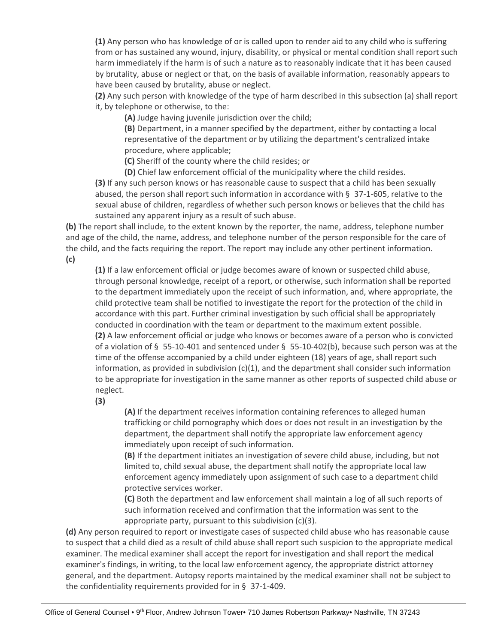**(1)** Any person who has knowledge of or is called upon to render aid to any child who is suffering from or has sustained any wound, injury, disability, or physical or mental condition shall report such harm immediately if the harm is of such a nature as to reasonably indicate that it has been caused by brutality, abuse or neglect or that, on the basis of available information, reasonably appears to have been caused by brutality, abuse or neglect.

 **(2)** Any such person with knowledge of the type of harm described in this subsection (a) shall report it, by telephone or otherwise, to the:

**(A)** Judge having juvenile jurisdiction over the child;

 **(B)** Department, in a manner specified by the department, either by contacting a local representative of the department or by utilizing the department's centralized intake procedure, where applicable;

**(C)** Sheriff of the county where the child resides; or

**(D)** Chief law enforcement official of the municipality where the child resides.

 **(3)** If any such person knows or has reasonable cause to suspect that a child has been sexually abused, the person shall report such information in accordance with § 37-1-605, relative to the sexual abuse of children, regardless of whether such person knows or believes that the child has sustained any apparent injury as a result of such abuse.

 **(b)** The report shall include, to the extent known by the reporter, the name, address, telephone number and age of the child, the name, address, and telephone number of the person responsible for the care of the child, and the facts requiring the report. The report may include any other pertinent information.

**(c)** 

 **(1)** If a law enforcement official or judge becomes aware of known or suspected child abuse, through personal knowledge, receipt of a report, or otherwise, such information shall be reported to the department immediately upon the receipt of such information, and, where appropriate, the child protective team shall be notified to investigate the report for the protection of the child in accordance with this part. Further criminal investigation by such official shall be appropriately conducted in coordination with the team or department to the maximum extent possible. **(2)** A law enforcement official or judge who knows or becomes aware of a person who is convicted of a violation of § 55-10-401 and sentenced under § 55-10-402(b), because such person was at the time of the offense accompanied by a child under eighteen (18) years of age, shall report such information, as provided in subdivision (c)(1), and the department shall consider such information to be appropriate for investigation in the same manner as other reports of suspected child abuse or neglect.

**(3)** 

 **(A)** If the department receives information containing references to alleged human trafficking or child pornography which does or does not result in an investigation by the department, the department shall notify the appropriate law enforcement agency immediately upon receipt of such information.

 **(B)** If the department initiates an investigation of severe child abuse, including, but not limited to, child sexual abuse, the department shall notify the appropriate local law enforcement agency immediately upon assignment of such case to a department child protective services worker.

 **(C)** Both the department and law enforcement shall maintain a log of all such reports of such information received and confirmation that the information was sent to the appropriate party, pursuant to this subdivision (c)(3).

 **(d)** Any person required to report or investigate cases of suspected child abuse who has reasonable cause to suspect that a child died as a result of child abuse shall report such suspicion to the appropriate medical examiner. The medical examiner shall accept the report for investigation and shall report the medical examiner's findings, in writing, to the local law enforcement agency, the appropriate district attorney general, and the department. Autopsy reports maintained by the medical examiner shall not be subject to the confidentiality requirements provided for in § 37-1-409.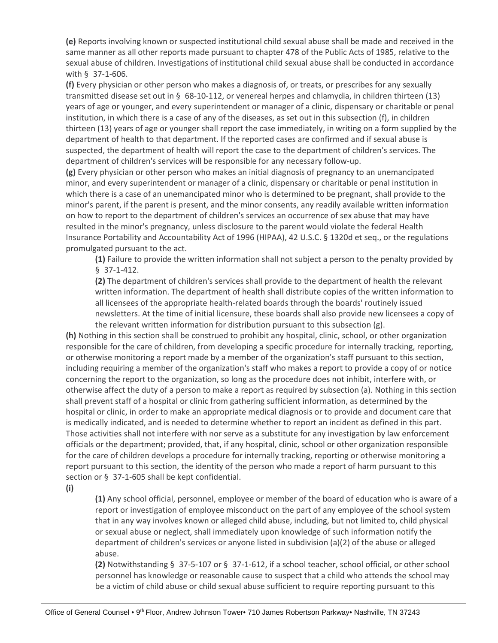**(e)** Reports involving known or suspected institutional child sexual abuse shall be made and received in the same manner as all other reports made pursuant to chapter 478 of the Public Acts of 1985, relative to the sexual abuse of children. Investigations of institutional child sexual abuse shall be conducted in accordance with § 37-1-606.

 **(f)** Every physician or other person who makes a diagnosis of, or treats, or prescribes for any sexually transmitted disease set out in § 68-10-112, or venereal herpes and chlamydia, in children thirteen (13) years of age or younger, and every superintendent or manager of a clinic, dispensary or charitable or penal institution, in which there is a case of any of the diseases, as set out in this subsection (f), in children thirteen (13) years of age or younger shall report the case immediately, in writing on a form supplied by the department of health to that department. If the reported cases are confirmed and if sexual abuse is suspected, the department of health will report the case to the department of children's services. The department of children's services will be responsible for any necessary follow-up.

 **(g)** Every physician or other person who makes an initial diagnosis of pregnancy to an unemancipated minor, and every superintendent or manager of a clinic, dispensary or charitable or penal institution in which there is a case of an unemancipated minor who is determined to be pregnant, shall provide to the minor's parent, if the parent is present, and the minor consents, any readily available written information on how to report to the department of children's services an occurrence of sex abuse that may have resulted in the minor's pregnancy, unless disclosure to the parent would violate the federal Health Insurance Portability and Accountability Act of 1996 (HIPAA), 42 U.S.C. § 1320d et seq., or the regulations promulgated pursuant to the act.

 **(1)** Failure to provide the written information shall not subject a person to the penalty provided by § 37-1-412.

 **(2)** The department of children's services shall provide to the department of health the relevant written information. The department of health shall distribute copies of the written information to all licensees of the appropriate health-related boards through the boards' routinely issued newsletters. At the time of initial licensure, these boards shall also provide new licensees a copy of the relevant written information for distribution pursuant to this subsection (g).

 **(h)** Nothing in this section shall be construed to prohibit any hospital, clinic, school, or other organization responsible for the care of children, from developing a specific procedure for internally tracking, reporting, or otherwise monitoring a report made by a member of the organization's staff pursuant to this section, including requiring a member of the organization's staff who makes a report to provide a copy of or notice concerning the report to the organization, so long as the procedure does not inhibit, interfere with, or otherwise affect the duty of a person to make a report as required by subsection (a). Nothing in this section shall prevent staff of a hospital or clinic from gathering sufficient information, as determined by the hospital or clinic, in order to make an appropriate medical diagnosis or to provide and document care that is medically indicated, and is needed to determine whether to report an incident as defined in this part. Those activities shall not interfere with nor serve as a substitute for any investigation by law enforcement officials or the department; provided, that, if any hospital, clinic, school or other organization responsible for the care of children develops a procedure for internally tracking, reporting or otherwise monitoring a report pursuant to this section, the identity of the person who made a report of harm pursuant to this section or § 37-1-605 shall be kept confidential.

**(i)** 

 **(1)** Any school official, personnel, employee or member of the board of education who is aware of a report or investigation of employee misconduct on the part of any employee of the school system that in any way involves known or alleged child abuse, including, but not limited to, child physical or sexual abuse or neglect, shall immediately upon knowledge of such information notify the department of children's services or anyone listed in subdivision (a)(2) of the abuse or alleged abuse.

 **(2)** Notwithstanding § 37-5-107 or § 37-1-612, if a school teacher, school official, or other school personnel has knowledge or reasonable cause to suspect that a child who attends the school may be a victim of child abuse or child sexual abuse sufficient to require reporting pursuant to this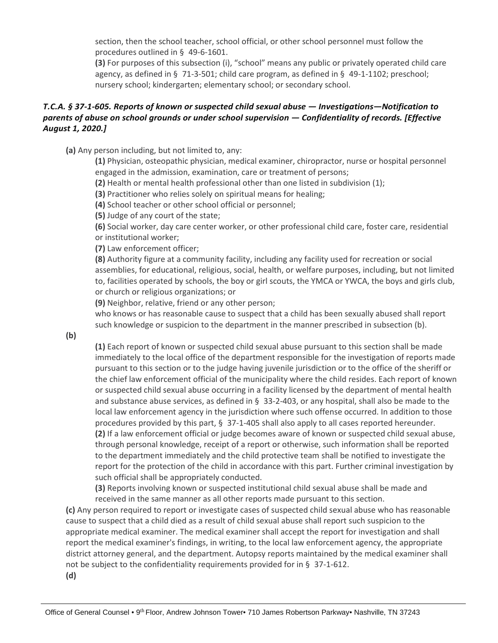section, then the school teacher, school official, or other school personnel must follow the procedures outlined in § 49-6-1601.

 **(3)** For purposes of this subsection (i), "school" means any public or privately operated child care agency, as defined in § 71-3-501; child care program, as defined in § 49-1-1102; preschool; nursery school; kindergarten; elementary school; or secondary school.

# *T.C.A. § 37-1-605. Reports of known or suspected child sexual abuse — Investigations—Notification to parents of abuse on school grounds or under school supervision — Confidentiality of records. [Effective August 1, 2020.]*

**(a)** Any person including, but not limited to, any:

 **(1)** Physician, osteopathic physician, medical examiner, chiropractor, nurse or hospital personnel engaged in the admission, examination, care or treatment of persons;

**(2)** Health or mental health professional other than one listed in subdivision (1);

**(3)** Practitioner who relies solely on spiritual means for healing;

**(4)** School teacher or other school official or personnel;

**(5)** Judge of any court of the state;

 **(6)** Social worker, day care center worker, or other professional child care, foster care, residential or institutional worker;

**(7)** Law enforcement officer;

 assemblies, for educational, religious, social, health, or welfare purposes, including, but not limited to, facilities operated by schools, the boy or girl scouts, the YMCA or YWCA, the boys and girls club, or church or religious organizations; or **(8)** Authority figure at a community facility, including any facility used for recreation or social

**(9)** Neighbor, relative, friend or any other person;

 who knows or has reasonable cause to suspect that a child has been sexually abused shall report such knowledge or suspicion to the department in the manner prescribed in subsection (b).

**(b)** 

 **(1)** Each report of known or suspected child sexual abuse pursuant to this section shall be made immediately to the local office of the department responsible for the investigation of reports made pursuant to this section or to the judge having juvenile jurisdiction or to the office of the sheriff or the chief law enforcement official of the municipality where the child resides. Each report of known or suspected child sexual abuse occurring in a facility licensed by the department of mental health and substance abuse services, as defined in § 33-2-403, or any hospital, shall also be made to the local law enforcement agency in the jurisdiction where such offense occurred. In addition to those procedures provided by this part, § 37-1-405 shall also apply to all cases reported hereunder. **(2)** If a law enforcement official or judge becomes aware of known or suspected child sexual abuse, through personal knowledge, receipt of a report or otherwise, such information shall be reported to the department immediately and the child protective team shall be notified to investigate the report for the protection of the child in accordance with this part. Further criminal investigation by such official shall be appropriately conducted.

 **(3)** Reports involving known or suspected institutional child sexual abuse shall be made and received in the same manner as all other reports made pursuant to this section.

 **(c)** Any person required to report or investigate cases of suspected child sexual abuse who has reasonable cause to suspect that a child died as a result of child sexual abuse shall report such suspicion to the appropriate medical examiner. The medical examiner shall accept the report for investigation and shall report the medical examiner's findings, in writing, to the local law enforcement agency, the appropriate district attorney general, and the department. Autopsy reports maintained by the medical examiner shall not be subject to the confidentiality requirements provided for in § 37-1-612. **(d)**